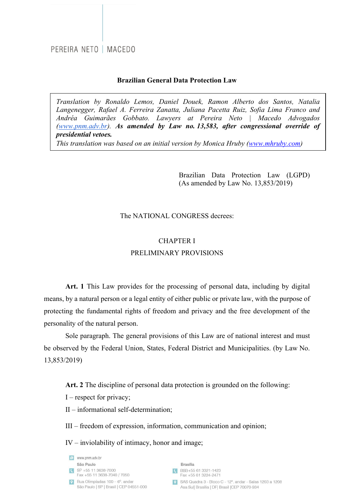#### **Brazilian General Data Protection Law**

*Translation by Ronaldo Lemos, Daniel Douek, Ramon Alberto dos Santos, Natalia Langenegger, Rafael A. Ferreira Zanatta, Juliana Pacetta Ruiz, Sofia Lima Franco and Andréa Guimarães Gobbato. Lawyers at Pereira Neto | Macedo Advogados (www.pnm.adv.br). As amended by Law no. 13,583, after congressional override of presidential vetoes.*

*This translation was based on an initial version by Monica Hruby (www.mhruby.com)* 

Brazilian Data Protection Law (LGPD) (As amended by Law No. 13,853/2019)

#### The NATIONAL CONGRESS decrees:

## CHAPTER I PRELIMINARY PROVISIONS

**Art. 1** This Law provides for the processing of personal data, including by digital means, by a natural person or a legal entity of either public or private law, with the purpose of protecting the fundamental rights of freedom and privacy and the free development of the personality of the natural person.

Sole paragraph. The general provisions of this Law are of national interest and must be observed by the Federal Union, States, Federal District and Municipalities. (by Law No. 13,853/2019)

**Art. 2** The discipline of personal data protection is grounded on the following:

- $I$  respect for privacy;
- II informational self-determination;
- III freedom of expression, information, communication and opinion;

IV – inviolability of intimacy, honor and image;

e www.pnm.adv.br São Paulo  $S$ P +55 11 3638-7000 Fax +55 11 3638-7040 / 7050  $\bullet$  Rua Olimpíadas 100 – 6° andar São Paulo | SP | Brasil | CEP 04551-000

**Brasília** CBSB+55 61 3321-1423 Fax +55 61 3224-2471

SAS Quadra 3 - Bloco C - 12°, andar - Salas 1203 a 1208 Asa Sul| Brasília | DF| Brasil | CEP 70070-934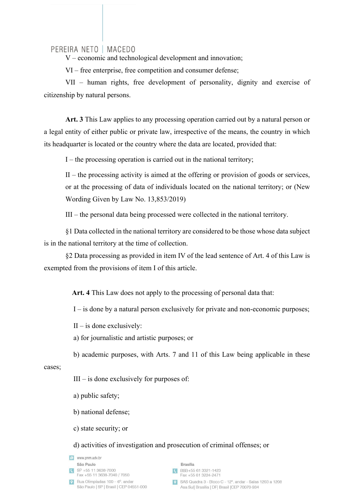V – economic and technological development and innovation;

VI – free enterprise, free competition and consumer defense;

VII – human rights, free development of personality, dignity and exercise of citizenship by natural persons.

**Art. 3** This Law applies to any processing operation carried out by a natural person or a legal entity of either public or private law, irrespective of the means, the country in which its headquarter is located or the country where the data are located, provided that:

I – the processing operation is carried out in the national territory;

 $II$  – the processing activity is aimed at the offering or provision of goods or services, or at the processing of data of individuals located on the national territory; or (New Wording Given by Law No. 13,853/2019)

III – the personal data being processed were collected in the national territory.

§1 Data collected in the national territory are considered to be those whose data subject is in the national territory at the time of collection.

§2 Data processing as provided in item IV of the lead sentence of Art. 4 of this Law is exempted from the provisions of item I of this article.

**Art. 4** This Law does not apply to the processing of personal data that:

I – is done by a natural person exclusively for private and non-economic purposes;

 $II$  – is done exclusively:

a) for journalistic and artistic purposes; or

b) academic purposes, with Arts. 7 and 11 of this Law being applicable in these

#### cases;

 $III - is$  done exclusively for purposes of:

a) public safety;

b) national defense;

c) state security; or

d) activities of investigation and prosecution of criminal offenses; or

e www.pnm.adv.br São Paulo  $S$ P +55 11 3638-7000 Fax +55 11 3638-7040 / 7050 P Rua Olimpíadas  $100 - 6^\circ$  and and São Paulo | SP | Brasil | CEP 04551-000

#### **Brasília**

- CBSB+55 61 3321-1423 Fax +55 61 3224-2471
- SAS Quadra 3 Bloco C 12°, andar Salas 1203 a 1208 Asa Sul| Brasília | DF| Brasil | CEP 70070-934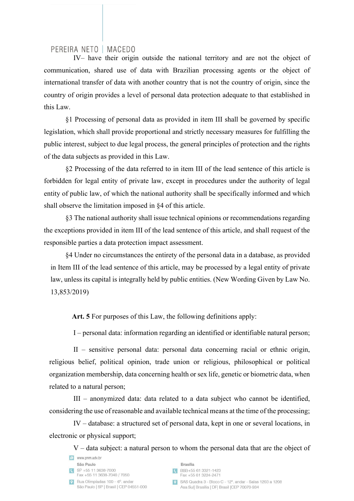IV– have their origin outside the national territory and are not the object of communication, shared use of data with Brazilian processing agents or the object of international transfer of data with another country that is not the country of origin, since the country of origin provides a level of personal data protection adequate to that established in this Law.

§1 Processing of personal data as provided in item III shall be governed by specific legislation, which shall provide proportional and strictly necessary measures for fulfilling the public interest, subject to due legal process, the general principles of protection and the rights of the data subjects as provided in this Law.

§2 Processing of the data referred to in item III of the lead sentence of this article is forbidden for legal entity of private law, except in procedures under the authority of legal entity of public law, of which the national authority shall be specifically informed and which shall observe the limitation imposed in §4 of this article.

§3 The national authority shall issue technical opinions or recommendations regarding the exceptions provided in item III of the lead sentence of this article, and shall request of the responsible parties a data protection impact assessment.

§4 Under no circumstances the entirety of the personal data in a database, as provided in Item III of the lead sentence of this article, may be processed by a legal entity of private law, unless its capital is integrally held by public entities. (New Wording Given by Law No. 13,853/2019)

**Art. 5** For purposes of this Law, the following definitions apply:

I – personal data: information regarding an identified or identifiable natural person;

II – sensitive personal data: personal data concerning racial or ethnic origin, religious belief, political opinion, trade union or religious, philosophical or political organization membership, data concerning health or sex life, genetic or biometric data, when related to a natural person;

III – anonymized data: data related to a data subject who cannot be identified, considering the use of reasonable and available technical means at the time of the processing;

IV – database: a structured set of personal data, kept in one or several locations, in electronic or physical support;

V – data subject: a natural person to whom the personal data that are the object of

| e www.pnm.adv.br                                                          |
|---------------------------------------------------------------------------|
| São Paulo                                                                 |
| SP +55 11 3638-7000<br>Fax +55 11 3638-7040 / 7050                        |
| Rua Olimpíadas 100 - 6°, andar<br>São Paulo   SP   Brasil   CEP 04551-000 |

**Brasília** R BSB+55 61 3321-1423

|  |  | Fax +55 61 3224-247 |  |
|--|--|---------------------|--|

SAS Quadra 3 - Bloco C - 12° andar - Salas 1203 a 1208 Asa Sul| Brasília | DF| Brasil | CEP 70070-934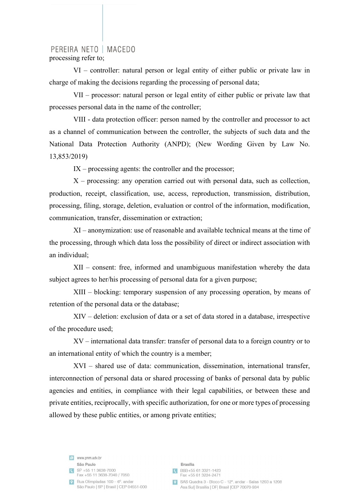## PEREIRA NETO | MACEDO processing refer to;

VI – controller: natural person or legal entity of either public or private law in charge of making the decisions regarding the processing of personal data;

VII – processor: natural person or legal entity of either public or private law that processes personal data in the name of the controller;

VIII - data protection officer: person named by the controller and processor to act as a channel of communication between the controller, the subjects of such data and the National Data Protection Authority (ANPD); (New Wording Given by Law No. 13,853/2019)

 $IX - processing$  agents: the controller and the processor;

 $X$  – processing: any operation carried out with personal data, such as collection, production, receipt, classification, use, access, reproduction, transmission, distribution, processing, filing, storage, deletion, evaluation or control of the information, modification, communication, transfer, dissemination or extraction;

XI – anonymization: use of reasonable and available technical means at the time of the processing, through which data loss the possibility of direct or indirect association with an individual;

XII – consent: free, informed and unambiguous manifestation whereby the data subject agrees to her/his processing of personal data for a given purpose;

XIII – blocking: temporary suspension of any processing operation, by means of retention of the personal data or the database;

XIV – deletion: exclusion of data or a set of data stored in a database, irrespective of the procedure used;

XV – international data transfer: transfer of personal data to a foreign country or to an international entity of which the country is a member;

XVI – shared use of data: communication, dissemination, international transfer, interconnection of personal data or shared processing of banks of personal data by public agencies and entities, in compliance with their legal capabilities, or between these and private entities, reciprocally, with specific authorization, for one or more types of processing allowed by these public entities, or among private entities;

e www.pnm.adv.br São Paulo  $S^P$  +55 11 3638-7000 Fax +55 11 3638-7040 / 7050  $\boxed{\textbf{Q}}$  Rua Olimpíadas 100 – 6° andar São Paulo | SP | Brasil | CEP 04551-000

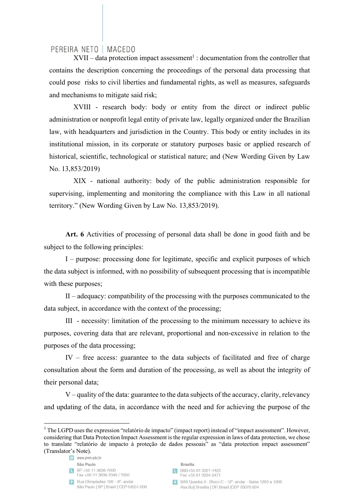$XVII$  – data protection impact assessment<sup>1</sup> : documentation from the controller that contains the description concerning the proceedings of the personal data processing that could pose risks to civil liberties and fundamental rights, as well as measures, safeguards and mechanisms to mitigate said risk;

XVIII - research body: body or entity from the direct or indirect public administration or nonprofit legal entity of private law, legally organized under the Brazilian law, with headquarters and jurisdiction in the Country. This body or entity includes in its institutional mission, in its corporate or statutory purposes basic or applied research of historical, scientific, technological or statistical nature; and (New Wording Given by Law No. 13,853/2019)

XIX - national authority: body of the public administration responsible for supervising, implementing and monitoring the compliance with this Law in all national territory." (New Wording Given by Law No. 13,853/2019).

**Art. 6** Activities of processing of personal data shall be done in good faith and be subject to the following principles:

I – purpose: processing done for legitimate, specific and explicit purposes of which the data subject is informed, with no possibility of subsequent processing that is incompatible with these purposes;

II – adequacy: compatibility of the processing with the purposes communicated to the data subject, in accordance with the context of the processing;

III - necessity: limitation of the processing to the minimum necessary to achieve its purposes, covering data that are relevant, proportional and non-excessive in relation to the purposes of the data processing;

IV – free access: guarantee to the data subjects of facilitated and free of charge consultation about the form and duration of the processing, as well as about the integrity of their personal data;

V – quality of the data: guarantee to the data subjects of the accuracy, clarity, relevancy and updating of the data, in accordance with the need and for achieving the purpose of the

e www.pnm.adv.br São Paulo  $S$ P +55 11 3638-7000 Fax +55 11 3638-7040 / 7050  $\sqrt{9}$  Rua Olimpíadas 100 – 6° andar São Paulo | SP | Brasil | CEP 04551-000



<sup>&</sup>lt;sup>1</sup> The LGPD uses the expression "relatório de impacto" (impact report) instead of "impact assessment". However, considering that Data Protection Impact Assessment is the regular expression in laws of data protection, we chose to translate "relatório de impacto à proteção de dados pessoais" as "data protection impact assessment" (Translator's Note).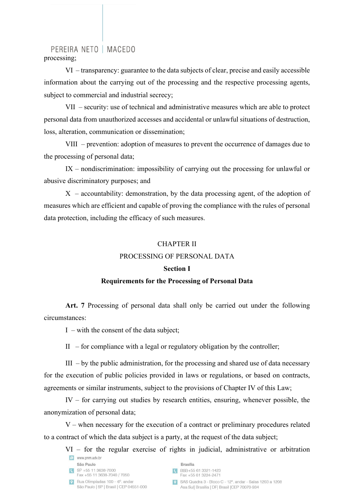PEREIRA NETO | MACEDO processing;

VI – transparency: guarantee to the data subjects of clear, precise and easily accessible information about the carrying out of the processing and the respective processing agents, subject to commercial and industrial secrecy;

VII – security: use of technical and administrative measures which are able to protect personal data from unauthorized accesses and accidental or unlawful situations of destruction, loss, alteration, communication or dissemination;

VIII – prevention: adoption of measures to prevent the occurrence of damages due to the processing of personal data;

IX – nondiscrimination: impossibility of carrying out the processing for unlawful or abusive discriminatory purposes; and

 $X$  – accountability: demonstration, by the data processing agent, of the adoption of measures which are efficient and capable of proving the compliance with the rules of personal data protection, including the efficacy of such measures.

#### CHAPTER II

## PROCESSING OF PERSONAL DATA

#### **Section I**

#### **Requirements for the Processing of Personal Data**

**Art. 7** Processing of personal data shall only be carried out under the following circumstances:

 $I$  – with the consent of the data subject;

II – for compliance with a legal or regulatory obligation by the controller;

III  $-$  by the public administration, for the processing and shared use of data necessary for the execution of public policies provided in laws or regulations, or based on contracts, agreements or similar instruments, subject to the provisions of Chapter IV of this Law;

IV – for carrying out studies by research entities, ensuring, whenever possible, the anonymization of personal data;

V – when necessary for the execution of a contract or preliminary procedures related to a contract of which the data subject is a party, at the request of the data subject;

VI – for the regular exercise of rights in judicial, administrative or arbitration e www.pnm.adv.br

|              | São Paulo                                                                 |
|--------------|---------------------------------------------------------------------------|
| $\mathbf{C}$ | SP +55 11 3638-7000<br>Fax +55 11 3638-7040 / 7050                        |
| 9            | Rua Olimpíadas 100 – 6°, andar<br>São Paulo   SP   Brasil   CEP 04551-000 |

**Brasília** R BSB+55 61 3321-1423

|  | Fax +55 61 3224-2471 |  |
|--|----------------------|--|
|  |                      |  |
|  |                      |  |

SAS Quadra 3 - Bloco C - 12° andar - Salas 1203 a 1208 Asa Sul| Brasília | DF| Brasil | CEP 70070-934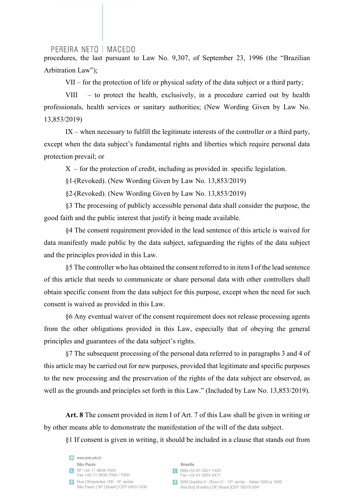procedures, the last pursuant to Law No. 9,307, of September 23, 1996 (the "Brazilian Arbitration Law");

VII – for the protection of life or physical safety of the data subject or a third party;

VIII – to protect the health, exclusively, in a procedure carried out by health professionals, health services or sanitary authorities; (New Wording Given by Law No. 13,853/2019)

IX – when necessary to fulfill the legitimate interests of the controller or a third party, except when the data subject's fundamental rights and liberties which require personal data protection prevail; or

 $X$  – for the protection of credit, including as provided in specific legislation.

§1 (Revoked). (New Wording Given by Law No. 13,853/2019)

§2 (Revoked). (New Wording Given by Law No. 13,853/2019)

§3 The processing of publicly accessible personal data shall consider the purpose, the good faith and the public interest that justify it being made available.

§4 The consent requirement provided in the lead sentence of this article is waived for data manifestly made public by the data subject, safeguarding the rights of the data subject and the principles provided in this Law.

§5 The controller who has obtained the consent referred to in item I of the lead sentence of this article that needs to communicate or share personal data with other controllers shall obtain specific consent from the data subject for this purpose, except when the need for such consent is waived as provided in this Law.

§6 Any eventual waiver of the consent requirement does not release processing agents from the other obligations provided in this Law, especially that of obeying the general principles and guarantees of the data subject's rights.

§7 The subsequent processing of the personal data referred to in paragraphs 3 and 4 of this article may be carried out for new purposes, provided that legitimate and specific purposes to the new processing and the preservation of the rights of the data subject are observed, as well as the grounds and principles set forth in this Law." (Included by Law No. 13,853/2019).

**Art. 8** The consent provided in item I of Art. 7 of this Law shall be given in writing or by other means able to demonstrate the manifestation of the will of the data subject.

§1 If consent is given in writing, it should be included in a clause that stands out from

|           | www.pnm.adv.br                                                            |
|-----------|---------------------------------------------------------------------------|
|           | São Paulo                                                                 |
|           | SP +55 11 3638-7000<br>Fax +55 11 3638-7040 / 7050                        |
| $\bullet$ | Rua Olimpíadas 100 - 6°, andar<br>São Paulo   SP   Brasil   CEP 04551-000 |

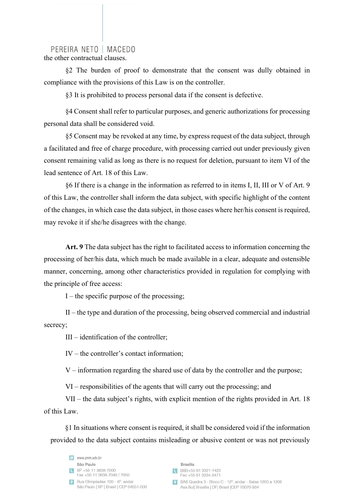the other contractual clauses.

§2 The burden of proof to demonstrate that the consent was dully obtained in compliance with the provisions of this Law is on the controller.

§3 It is prohibited to process personal data if the consent is defective.

§4 Consent shall refer to particular purposes, and generic authorizations for processing personal data shall be considered void.

§5 Consent may be revoked at any time, by express request of the data subject, through a facilitated and free of charge procedure, with processing carried out under previously given consent remaining valid as long as there is no request for deletion, pursuant to item VI of the lead sentence of Art. 18 of this Law.

§6 If there is a change in the information as referred to in items I, II, III or V of Art. 9 of this Law, the controller shall inform the data subject, with specific highlight of the content of the changes, in which case the data subject, in those cases where her/his consent is required, may revoke it if she/he disagrees with the change.

**Art. 9** The data subject has the right to facilitated access to information concerning the processing of her/his data, which much be made available in a clear, adequate and ostensible manner, concerning, among other characteristics provided in regulation for complying with the principle of free access:

 $I$  – the specific purpose of the processing;

II – the type and duration of the processing, being observed commercial and industrial secrecy;

III – identification of the controller;

IV – the controller's contact information;

V – information regarding the shared use of data by the controller and the purpose;

VI – responsibilities of the agents that will carry out the processing; and

VII – the data subject's rights, with explicit mention of the rights provided in Art. 18 of this Law.

§1 In situations where consent is required, it shall be considered void if the information provided to the data subject contains misleading or abusive content or was not previously

e www.pnm.adv.br São Paulo  $S$ P +55 11 3638-7000 Fax +55 11 3638-7040 / 7050 P Rua Olimpíadas  $100 - 6^\circ$  and and São Paulo | SP | Brasil | CEP 04551-000

**Brasília** CBSB+55 61 3321-1423 Fax +55 61 3224-2471 SAS Quadra 3 - Bloco C - 12°, andar - Salas 1203 a 1208

Asa Sul| Brasília | DF| Brasil | CEP 70070-934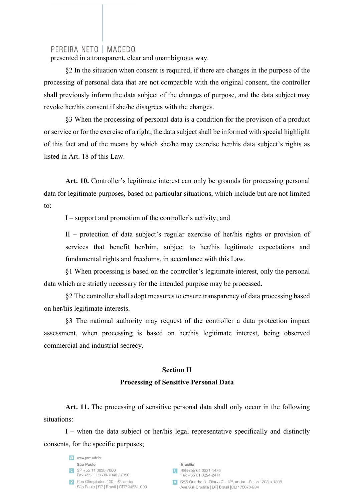presented in a transparent, clear and unambiguous way.

§2 In the situation when consent is required, if there are changes in the purpose of the processing of personal data that are not compatible with the original consent, the controller shall previously inform the data subject of the changes of purpose, and the data subject may revoke her/his consent if she/he disagrees with the changes.

§3 When the processing of personal data is a condition for the provision of a product or service or for the exercise of a right, the data subject shall be informed with special highlight of this fact and of the means by which she/he may exercise her/his data subject's rights as listed in Art. 18 of this Law.

Art. 10. Controller's legitimate interest can only be grounds for processing personal data for legitimate purposes, based on particular situations, which include but are not limited to:

I – support and promotion of the controller's activity; and

II – protection of data subject's regular exercise of her/his rights or provision of services that benefit her/him, subject to her/his legitimate expectations and fundamental rights and freedoms, in accordance with this Law.

§1 When processing is based on the controller's legitimate interest, only the personal data which are strictly necessary for the intended purpose may be processed.

§2 The controller shall adopt measures to ensure transparency of data processing based on her/his legitimate interests.

§3 The national authority may request of the controller a data protection impact assessment, when processing is based on her/his legitimate interest, being observed commercial and industrial secrecy.

## **Section II**

#### **Processing of Sensitive Personal Data**

Art. 11. The processing of sensitive personal data shall only occur in the following situations:

I – when the data subject or her/his legal representative specifically and distinctly consents, for the specific purposes;

e www.pnm.adv.br São Paulo  $S$ P +55 11 3638-7000 Fax +55 11 3638-7040 / 7050  $\bullet$  Rua Olimpíadas 100 – 6° andar São Paulo | SP | Brasil | CEP 04551-000

**Brasília** C BSB+55 61 3321-1423 Fax +55 61 3224-2471 SAS Quadra 3 - Bloco C - 12° andar - Salas 1203 a 1208 Asa Sul| Brasília | DF| Brasil | CEP 70070-934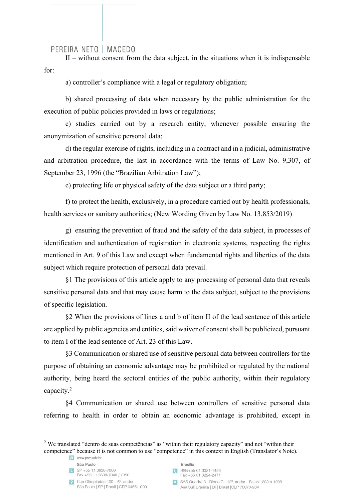$II$  – without consent from the data subject, in the situations when it is indispensable for:

a) controller's compliance with a legal or regulatory obligation;

b) shared processing of data when necessary by the public administration for the execution of public policies provided in laws or regulations;

c) studies carried out by a research entity, whenever possible ensuring the anonymization of sensitive personal data;

d) the regular exercise of rights, including in a contract and in a judicial, administrative and arbitration procedure, the last in accordance with the terms of Law No. 9,307, of September 23, 1996 (the "Brazilian Arbitration Law");

e) protecting life or physical safety of the data subject or a third party;

f) to protect the health, exclusively, in a procedure carried out by health professionals, health services or sanitary authorities; (New Wording Given by Law No. 13,853/2019)

g) ensuring the prevention of fraud and the safety of the data subject, in processes of identification and authentication of registration in electronic systems, respecting the rights mentioned in Art. 9 of this Law and except when fundamental rights and liberties of the data subject which require protection of personal data prevail.

§1 The provisions of this article apply to any processing of personal data that reveals sensitive personal data and that may cause harm to the data subject, subject to the provisions of specific legislation.

§2 When the provisions of lines a and b of item II of the lead sentence of this article are applied by public agencies and entities, said waiver of consent shall be publicized, pursuant to item I of the lead sentence of Art. 23 of this Law.

§3 Communication or shared use of sensitive personal data between controllers for the purpose of obtaining an economic advantage may be prohibited or regulated by the national authority, being heard the sectoral entities of the public authority, within their regulatory capacity.2

§4 Communication or shared use between controllers of sensitive personal data referring to health in order to obtain an economic advantage is prohibited, except in

- $S$ P +55 11 3638-7000
	- Fax +55 11 3638-7040 / 7050

 $\bullet$  Rua Olimpíadas 100 – 6° andar São Paulo | SP | Brasil | CEP 04551-000 **Brasília** 

- CBSB+55 61 3321-1423 Fax +55 61 3224-2471
- SAS Quadra 3 Bloco C 12°, andar Salas 1203 a 1208 Asa Sul| Brasília | DF| Brasil | CEP 70070-934

<sup>&</sup>lt;sup>2</sup> We translated "dentro de suas competências" as "within their regulatory capacity" and not "within their competence" because it is not common to use "competence" in this context in English (Translator's Note).

e www.pnm.adv.br São Paulo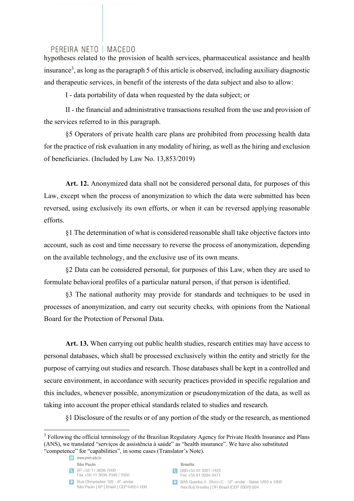hypotheses related to the provision of health services, pharmaceutical assistance and health insurance<sup>3</sup>, as long as the paragraph 5 of this article is observed, including auxiliary diagnostic and therapeutic services, in benefit of the interests of the data subject and also to allow:

I - data portability of data when requested by the data subject; or

II - the financial and administrative transactions resulted from the use and provision of the services referred to in this paragraph.

§5 Operators of private health care plans are prohibited from processing health data for the practice of risk evaluation in any modality of hiring, as well as the hiring and exclusion of beneficiaries. (Included by Law No. 13,853/2019)

**Art. 12.** Anonymized data shall not be considered personal data, for purposes of this Law, except when the process of anonymization to which the data were submitted has been reversed, using exclusively its own efforts, or when it can be reversed applying reasonable efforts.

§1 The determination of what is considered reasonable shall take objective factors into account, such as cost and time necessary to reverse the process of anonymization, depending on the available technology, and the exclusive use of its own means.

§2 Data can be considered personal, for purposes of this Law, when they are used to formulate behavioral profiles of a particular natural person, if that person is identified.

§3 The national authority may provide for standards and techniques to be used in processes of anonymization, and carry out security checks, with opinions from the National Board for the Protection of Personal Data.

Art. 13. When carrying out public health studies, research entities may have access to personal databases, which shall be processed exclusively within the entity and strictly for the purpose of carrying out studies and research. Those databases shall be kept in a controlled and secure environment, in accordance with security practices provided in specific regulation and this includes, whenever possible, anonymization or pseudonymization of the data, as well as taking into account the proper ethical standards related to studies and research.

§1 Disclosure of the results or of any portion of the study or the research, as mentioned

Fax +55 11 3638-7040 / 7050



CBSB+55 61 3321-1423 Fax +55 61 3224-2471

<sup>&</sup>lt;sup>3</sup> Following the official terminology of the Brazilian Regulatory Agency for Private Health Insurance and Plans (ANS), we translated "serviços de assistência à saúde" as "health insurance". We have also substituted "competence" for "capabilities", in some cases (Translator's Note).

e www.pnm.adv.br

São Paulo  $S\rightarrow 55113638-7000$ 

 $\bullet$  Rua Olimpíadas 100 – 6°, andar São Paulo | SP | Brasil | CEP 04551-000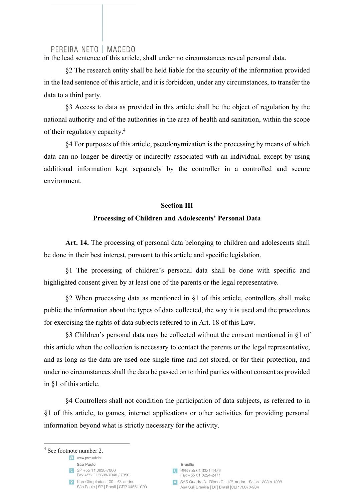in the lead sentence of this article, shall under no circumstances reveal personal data.

§2 The research entity shall be held liable for the security of the information provided in the lead sentence of this article, and it is forbidden, under any circumstances, to transfer the data to a third party.

§3 Access to data as provided in this article shall be the object of regulation by the national authority and of the authorities in the area of health and sanitation, within the scope of their regulatory capacity.4

§4 For purposes of this article, pseudonymization is the processing by means of which data can no longer be directly or indirectly associated with an individual, except by using additional information kept separately by the controller in a controlled and secure environment.

#### **Section III**

## **Processing of Children and Adolescents' Personal Data**

Art. 14. The processing of personal data belonging to children and adolescents shall be done in their best interest, pursuant to this article and specific legislation.

§1 The processing of children's personal data shall be done with specific and highlighted consent given by at least one of the parents or the legal representative.

§2 When processing data as mentioned in §1 of this article, controllers shall make public the information about the types of data collected, the way it is used and the procedures for exercising the rights of data subjects referred to in Art. 18 of this Law.

§3 Children's personal data may be collected without the consent mentioned in §1 of this article when the collection is necessary to contact the parents or the legal representative, and as long as the data are used one single time and not stored, or for their protection, and under no circumstances shall the data be passed on to third parties without consent as provided in §1 of this article.

§4 Controllers shall not condition the participation of data subjects, as referred to in §1 of this article, to games, internet applications or other activities for providing personal information beyond what is strictly necessary for the activity.

<sup>4</sup> See footnote number 2.

e www.pnm.adv.br

- São Paulo  $S\rightarrow 55113638-7000$ 
	- Fax +55 11 3638-7040 / 7050

 $\bullet$  Rua Olimpíadas 100 – 6°, andar São Paulo | SP | Brasil | CEP 04551-000

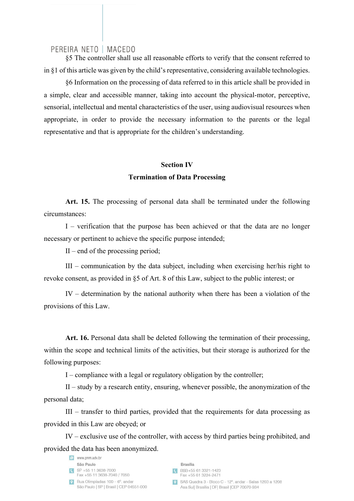§5 The controller shall use all reasonable efforts to verify that the consent referred to in §1 of this article was given by the child's representative, considering available technologies.

§6 Information on the processing of data referred to in this article shall be provided in a simple, clear and accessible manner, taking into account the physical-motor, perceptive, sensorial, intellectual and mental characteristics of the user, using audiovisual resources when appropriate, in order to provide the necessary information to the parents or the legal representative and that is appropriate for the children's understanding.

## **Section IV Termination of Data Processing**

**Art. 15.** The processing of personal data shall be terminated under the following circumstances:

I – verification that the purpose has been achieved or that the data are no longer necessary or pertinent to achieve the specific purpose intended;

II – end of the processing period;

III – communication by the data subject, including when exercising her/his right to revoke consent, as provided in §5 of Art. 8 of this Law, subject to the public interest; or

IV – determination by the national authority when there has been a violation of the provisions of this Law.

**Art. 16.** Personal data shall be deleted following the termination of their processing, within the scope and technical limits of the activities, but their storage is authorized for the following purposes:

I – compliance with a legal or regulatory obligation by the controller;

II – study by a research entity, ensuring, whenever possible, the anonymization of the personal data;

III – transfer to third parties, provided that the requirements for data processing as provided in this Law are obeyed; or

IV – exclusive use of the controller, with access by third parties being prohibited, and provided the data has been anonymized.

|           | www.pnm.adv.br                                                            |
|-----------|---------------------------------------------------------------------------|
|           | São Paulo                                                                 |
|           | SP +55 11 3638-7000<br>Fax +55 11 3638-7040 / 7050                        |
| $\bullet$ | Rua Olimpíadas 100 - 6°, andar<br>São Paulo   SP   Brasil   CEP 04551-000 |

**Brasília** BSB+55 61 3321-1423 Fax +55 61 3224-2471 SAS Quadra 3 - Bloco C - 12° andar - Salas 1203 a 1208 Asa Sul| Brasília | DF| Brasil | CEP 70070-934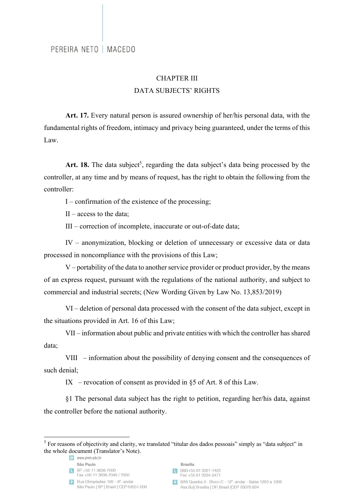# CHAPTER III DATA SUBJECTS' RIGHTS

**Art. 17.** Every natural person is assured ownership of her/his personal data, with the fundamental rights of freedom, intimacy and privacy being guaranteed, under the terms of this Law.

Art. 18. The data subject<sup>5</sup>, regarding the data subject's data being processed by the controller, at any time and by means of request, has the right to obtain the following from the controller:

I – confirmation of the existence of the processing;

 $II - \text{access to the data:}$ 

III – correction of incomplete, inaccurate or out-of-date data;

IV – anonymization, blocking or deletion of unnecessary or excessive data or data processed in noncompliance with the provisions of this Law;

V – portability of the data to another service provider or product provider, by the means of an express request, pursuant with the regulations of the national authority, and subject to commercial and industrial secrets; (New Wording Given by Law No. 13,853/2019)

VI – deletion of personal data processed with the consent of the data subject, except in the situations provided in Art. 16 of this Law;

VII – information about public and private entities with which the controller has shared data;

VIII – information about the possibility of denying consent and the consequences of such denial;

IX – revocation of consent as provided in  $\delta$ 5 of Art. 8 of this Law.

§1 The personal data subject has the right to petition, regarding her/his data, against the controller before the national authority.

 $S$ P +55 11 3638-7000 Fax +55 11 3638-7040 / 7050

- **Brasília**
- CBSB+55 61 3321-1423 Fax +55 61 3224-2471
- SAS Quadra 3 Bloco C 12°, andar Salas 1203 a 1208 Asa Sul| Brasília | DF| Brasil | CEP 70070-934

<sup>&</sup>lt;sup>5</sup> For reasons of objectivity and clarity, we translated "titular dos dados pessoais" simply as "data subject" in the whole document (Translator's Note).

e www.pnm.adv.br São Paulo

 $\bullet$  Rua Olimpíadas 100 – 6°, andar São Paulo | SP | Brasil | CEP 04551-000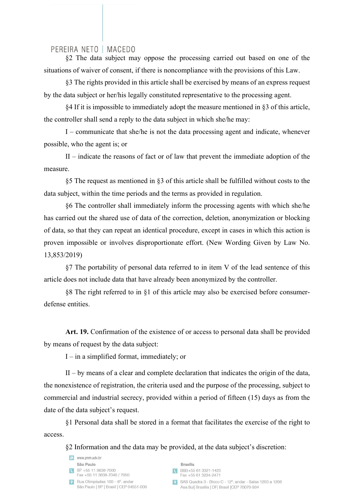§2 The data subject may oppose the processing carried out based on one of the situations of waiver of consent, if there is noncompliance with the provisions of this Law.

§3 The rights provided in this article shall be exercised by means of an express request by the data subject or her/his legally constituted representative to the processing agent.

§4 If it is impossible to immediately adopt the measure mentioned in §3 of this article, the controller shall send a reply to the data subject in which she/he may:

I – communicate that she/he is not the data processing agent and indicate, whenever possible, who the agent is; or

II – indicate the reasons of fact or of law that prevent the immediate adoption of the measure.

§5 The request as mentioned in §3 of this article shall be fulfilled without costs to the data subject, within the time periods and the terms as provided in regulation.

§6 The controller shall immediately inform the processing agents with which she/he has carried out the shared use of data of the correction, deletion, anonymization or blocking of data, so that they can repeat an identical procedure, except in cases in which this action is proven impossible or involves disproportionate effort. (New Wording Given by Law No. 13,853/2019)

§7 The portability of personal data referred to in item V of the lead sentence of this article does not include data that have already been anonymized by the controller.

§8 The right referred to in §1 of this article may also be exercised before consumerdefense entities.

Art. 19. Confirmation of the existence of or access to personal data shall be provided by means of request by the data subject:

I – in a simplified format, immediately; or

 $II - by$  means of a clear and complete declaration that indicates the origin of the data, the nonexistence of registration, the criteria used and the purpose of the processing, subject to commercial and industrial secrecy, provided within a period of fifteen (15) days as from the date of the data subject's request.

§1 Personal data shall be stored in a format that facilitates the exercise of the right to access.

§2 Information and the data may be provided, at the data subject's discretion:

| $\epsilon$ | www.pnm.adv.br                                                            |
|------------|---------------------------------------------------------------------------|
|            | São Paulo                                                                 |
| G          | SP +55 11 3638-7000<br>Fax +55 11 3638-7040 / 7050                        |
| $\bullet$  | Rua Olimpíadas 100 - 6°, andar<br>São Paulo   SP   Brasil   CEP 04551-000 |

**Brasília** BSB+55 61 3321-1423 Fax +55 61 3224-2471

SAS Quadra 3 - Bloco C - 12°, andar - Salas 1203 a 1208 Asa Sul| Brasília | DF| Brasil | CEP 70070-934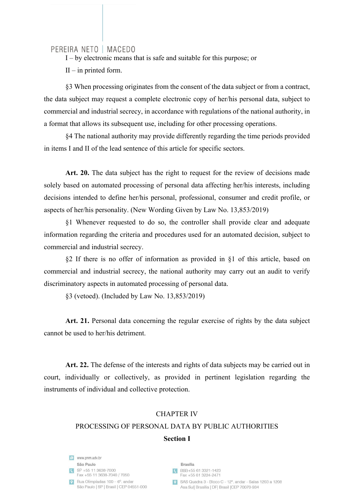I – by electronic means that is safe and suitable for this purpose; or

 $II$  – in printed form.

§3 When processing originates from the consent of the data subject or from a contract, the data subject may request a complete electronic copy of her/his personal data, subject to commercial and industrial secrecy, in accordance with regulations of the national authority, in a format that allows its subsequent use, including for other processing operations.

§4 The national authority may provide differently regarding the time periods provided in items I and II of the lead sentence of this article for specific sectors.

**Art. 20.** The data subject has the right to request for the review of decisions made solely based on automated processing of personal data affecting her/his interests, including decisions intended to define her/his personal, professional, consumer and credit profile, or aspects of her/his personality. (New Wording Given by Law No. 13,853/2019)

§1 Whenever requested to do so, the controller shall provide clear and adequate information regarding the criteria and procedures used for an automated decision, subject to commercial and industrial secrecy.

§2 If there is no offer of information as provided in §1 of this article, based on commercial and industrial secrecy, the national authority may carry out an audit to verify discriminatory aspects in automated processing of personal data.

§3 (vetoed). (Included by Law No. 13,853/2019)

**Art. 21.** Personal data concerning the regular exercise of rights by the data subject cannot be used to her/his detriment.

Art. 22. The defense of the interests and rights of data subjects may be carried out in court, individually or collectively, as provided in pertinent legislation regarding the instruments of individual and collective protection.

# CHAPTER IV PROCESSING OF PERSONAL DATA BY PUBLIC AUTHORITIES **Section I**

e www.pnm.adv.br São Paulo  $S$ P +55 11 3638-7000 Fax +55 11 3638-7040 / 7050 P Rua Olimpíadas  $100 - 6^\circ$  and and São Paulo | SP | Brasil | CEP 04551-000

**Brasília** CBSB+55 61 3321-1423 Fax +55 61 3224-2471 SAS Quadra 3 - Bloco C - 12°, andar - Salas 1203 a 1208 Asa Sul| Brasília | DF| Brasil | CEP 70070-934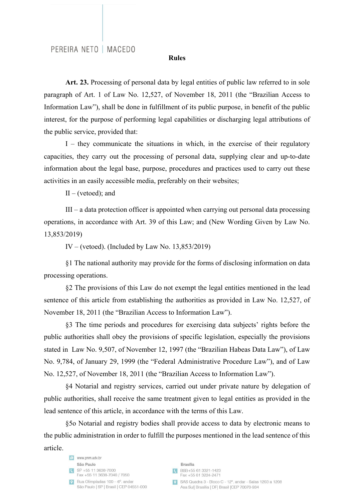#### **Rules**

**Art. 23.** Processing of personal data by legal entities of public law referred to in sole paragraph of Art. 1 of Law No. 12,527, of November 18, 2011 (the "Brazilian Access to Information Law"), shall be done in fulfillment of its public purpose, in benefit of the public interest, for the purpose of performing legal capabilities or discharging legal attributions of the public service, provided that:

I – they communicate the situations in which, in the exercise of their regulatory capacities, they carry out the processing of personal data, supplying clear and up-to-date information about the legal base, purpose, procedures and practices used to carry out these activities in an easily accessible media, preferably on their websites;

 $II - (vetoed);$  and

III – a data protection officer is appointed when carrying out personal data processing operations, in accordance with Art. 39 of this Law; and (New Wording Given by Law No. 13,853/2019)

IV – (vetoed). (Included by Law No.  $13,853/2019$ )

§1 The national authority may provide for the forms of disclosing information on data processing operations.

§2 The provisions of this Law do not exempt the legal entities mentioned in the lead sentence of this article from establishing the authorities as provided in Law No. 12,527, of November 18, 2011 (the "Brazilian Access to Information Law").

§3 The time periods and procedures for exercising data subjects' rights before the public authorities shall obey the provisions of specific legislation, especially the provisions stated in Law No. 9,507, of November 12, 1997 (the "Brazilian Habeas Data Law"), of Law No. 9,784, of January 29, 1999 (the "Federal Administrative Procedure Law"), and of Law No. 12,527, of November 18, 2011 (the "Brazilian Access to Information Law").

§4 Notarial and registry services, carried out under private nature by delegation of public authorities, shall receive the same treatment given to legal entities as provided in the lead sentence of this article, in accordance with the terms of this Law.

§5o Notarial and registry bodies shall provide access to data by electronic means to the public administration in order to fulfill the purposes mentioned in the lead sentence of this article.

| e         | www.pnm.adv.br                                                            |
|-----------|---------------------------------------------------------------------------|
|           | São Paulo                                                                 |
|           | SP +55 11 3638-7000<br>Fax +55 11 3638-7040 / 7050                        |
| <b>DO</b> | Rua Olimpíadas 100 - 6°, andar<br>São Paulo   SP   Brasil   CEP 04551-000 |

**Brasília** BSB+55 61 3321-1423 Fax +55 61 3224-2471 SAS Quadra 3 - Bloco C - 12° andar - Salas 1203 a 1208 Asa Sul| Brasília | DF| Brasil | CEP 70070-934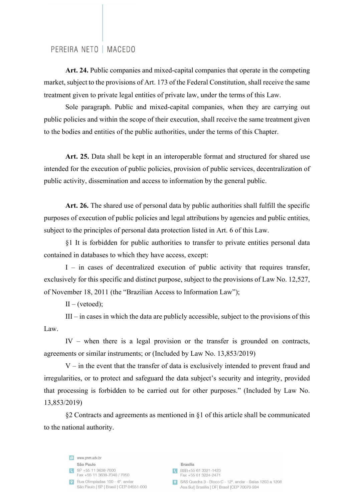**Art. 24.** Public companies and mixed-capital companies that operate in the competing market, subject to the provisions of Art. 173 of the Federal Constitution, shall receive the same treatment given to private legal entities of private law, under the terms of this Law.

Sole paragraph. Public and mixed-capital companies, when they are carrying out public policies and within the scope of their execution, shall receive the same treatment given to the bodies and entities of the public authorities, under the terms of this Chapter.

**Art. 25.** Data shall be kept in an interoperable format and structured for shared use intended for the execution of public policies, provision of public services, decentralization of public activity, dissemination and access to information by the general public.

**Art. 26.** The shared use of personal data by public authorities shall fulfill the specific purposes of execution of public policies and legal attributions by agencies and public entities, subject to the principles of personal data protection listed in Art. 6 of this Law.

§1 It is forbidden for public authorities to transfer to private entities personal data contained in databases to which they have access, except:

I – in cases of decentralized execution of public activity that requires transfer, exclusively for this specific and distinct purpose, subject to the provisions of Law No. 12,527, of November 18, 2011 (the "Brazilian Access to Information Law");

 $II - (vetoed);$ 

III – in cases in which the data are publicly accessible, subject to the provisions of this Law.

IV – when there is a legal provision or the transfer is grounded on contracts, agreements or similar instruments; or (Included by Law No. 13,853/2019)

 $V$  – in the event that the transfer of data is exclusively intended to prevent fraud and irregularities, or to protect and safeguard the data subject's security and integrity, provided that processing is forbidden to be carried out for other purposes." (Included by Law No. 13,853/2019)

§2 Contracts and agreements as mentioned in §1 of this article shall be communicated to the national authority.

e www.pnm.adv.br São Paulo  $S$ P +55 11 3638-7000 Fax +55 11 3638-7040 / 7050 P Rua Olimpíadas  $100 - 6^\circ$  and and São Paulo | SP | Brasil | CEP 04551-000

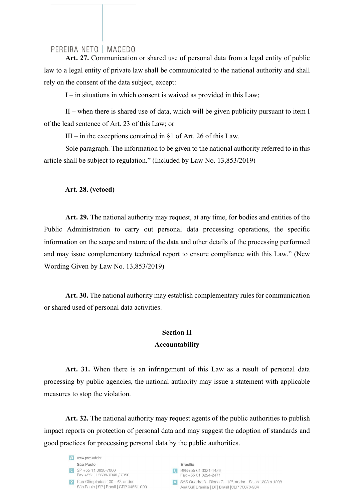**Art. 27.** Communication or shared use of personal data from a legal entity of public law to a legal entity of private law shall be communicated to the national authority and shall rely on the consent of the data subject, except:

 $I$  – in situations in which consent is waived as provided in this Law;

II – when there is shared use of data, which will be given publicity pursuant to item I of the lead sentence of Art. 23 of this Law; or

III – in the exceptions contained in §1 of Art. 26 of this Law.

Sole paragraph. The information to be given to the national authority referred to in this article shall be subject to regulation." (Included by Law No. 13,853/2019)

#### **Art. 28. (vetoed)**

**Art. 29.** The national authority may request, at any time, for bodies and entities of the Public Administration to carry out personal data processing operations, the specific information on the scope and nature of the data and other details of the processing performed and may issue complementary technical report to ensure compliance with this Law." (New Wording Given by Law No. 13,853/2019)

**Art. 30.** The national authority may establish complementary rules for communication or shared used of personal data activities.

## **Section II Accountability**

**Art. 31.** When there is an infringement of this Law as a result of personal data processing by public agencies, the national authority may issue a statement with applicable measures to stop the violation.

**Art. 32.** The national authority may request agents of the public authorities to publish impact reports on protection of personal data and may suggest the adoption of standards and good practices for processing personal data by the public authorities.

e www.pnm.adv.br São Paulo  $S$ P +55 11 3638-7000 Fax +55 11 3638-7040 / 7050 P Rua Olimpíadas  $100 - 6^\circ$  and and São Paulo | SP | Brasil | CEP 04551-000

**Brasília** CBSB+55 61 3321-1423 Fax +55 61 3224-2471 9 SAS Quadra 3 - Bloco C - 12°, andar - Salas 1203 a 1208 Asa Sul| Brasília | DF| Brasil | CEP 70070-934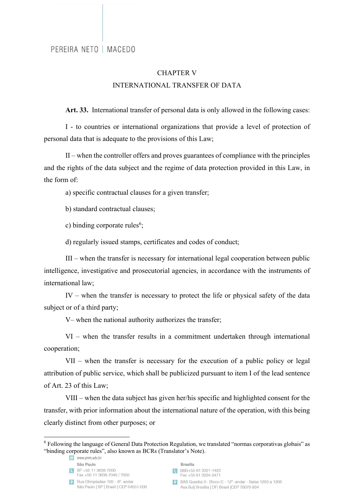## CHAPTER V INTERNATIONAL TRANSFER OF DATA

**Art. 33.** International transfer of personal data is only allowed in the following cases:

I - to countries or international organizations that provide a level of protection of personal data that is adequate to the provisions of this Law;

II – when the controller offers and proves guarantees of compliance with the principles and the rights of the data subject and the regime of data protection provided in this Law, in the form of:

a) specific contractual clauses for a given transfer;

b) standard contractual clauses;

c) binding corporate rules<sup>6</sup>;

d) regularly issued stamps, certificates and codes of conduct;

III – when the transfer is necessary for international legal cooperation between public intelligence, investigative and prosecutorial agencies, in accordance with the instruments of international law;

IV – when the transfer is necessary to protect the life or physical safety of the data subject or of a third party;

V– when the national authority authorizes the transfer;

VI – when the transfer results in a commitment undertaken through international cooperation;

VII – when the transfer is necessary for the execution of a public policy or legal attribution of public service, which shall be publicized pursuant to item I of the lead sentence of Art. 23 of this Law;

VIII – when the data subject has given her/his specific and highlighted consent for the transfer, with prior information about the international nature of the operation, with this being clearly distinct from other purposes; or

**Brasília** 

<sup>&</sup>lt;sup>6</sup> Following the language of General Data Protection Regulation, we translated "normas corporativas globais" as "binding corporate rules", also known as BCRs (Translator's Note).

e www.pnm.adv.br São Paulo  $S\rightarrow 55113638-7000$ 

Fax +55 11 3638-7040 / 7050

 $\bullet$  Rua Olimpíadas 100 – 6°, andar São Paulo | SP | Brasil | CEP 04551-000

C BSB+55 61 3321-1423 Fax +55 61 3224-2471

<sup>9</sup> SAS Quadra 3 - Bloco C - 12°, andar - Salas 1203 a 1208 Asa Sul| Brasília | DF| Brasil | CEP 70070-934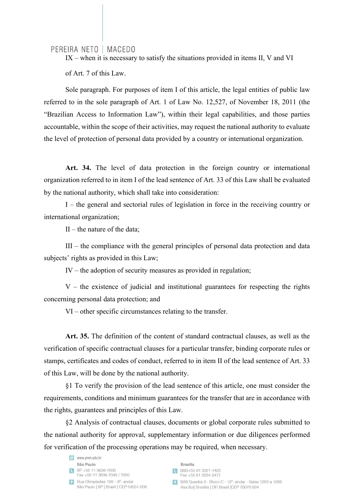IX – when it is necessary to satisfy the situations provided in items II, V and VI of Art. 7 of this Law.

Sole paragraph. For purposes of item I of this article, the legal entities of public law referred to in the sole paragraph of Art. 1 of Law No. 12,527, of November 18, 2011 (the "Brazilian Access to Information Law"), within their legal capabilities, and those parties accountable, within the scope of their activities, may request the national authority to evaluate the level of protection of personal data provided by a country or international organization.

**Art. 34.** The level of data protection in the foreign country or international organization referred to in item I of the lead sentence of Art. 33 of this Law shall be evaluated by the national authority, which shall take into consideration:

I – the general and sectorial rules of legislation in force in the receiving country or international organization;

 $II$  – the nature of the data:

III – the compliance with the general principles of personal data protection and data subjects' rights as provided in this Law;

IV – the adoption of security measures as provided in regulation;

 $V$  – the existence of judicial and institutional guarantees for respecting the rights concerning personal data protection; and

VI – other specific circumstances relating to the transfer.

**Art. 35.** The definition of the content of standard contractual clauses, as well as the verification of specific contractual clauses for a particular transfer, binding corporate rules or stamps, certificates and codes of conduct, referred to in item II of the lead sentence of Art. 33 of this Law, will be done by the national authority.

§1 To verify the provision of the lead sentence of this article, one must consider the requirements, conditions and minimum guarantees for the transfer that are in accordance with the rights, guarantees and principles of this Law.

§2 Analysis of contractual clauses, documents or global corporate rules submitted to the national authority for approval, supplementary information or due diligences performed for verification of the processing operations may be required, when necessary.

e www.pnm.adv.br São Paulo SP +55 11 3638-7000 Fax +55 11 3638-7040 / 7050 P Rua Olimpíadas  $100 - 6^\circ$  and and São Paulo | SP | Brasil | CEP 04551-000

**Brasília** CBSB+55 61 3321-1423 Fax +55 61 3224-2471 SAS Quadra 3 - Bloco C - 12° andar - Salas 1203 a 1208 Asa Sul| Brasília | DF| Brasil | CEP 70070-934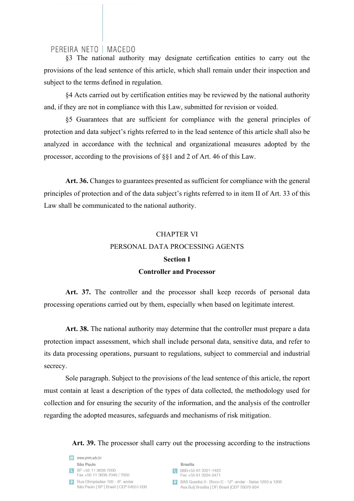§3 The national authority may designate certification entities to carry out the provisions of the lead sentence of this article, which shall remain under their inspection and subject to the terms defined in regulation.

§4 Acts carried out by certification entities may be reviewed by the national authority and, if they are not in compliance with this Law, submitted for revision or voided.

§5 Guarantees that are sufficient for compliance with the general principles of protection and data subject's rights referred to in the lead sentence of this article shall also be analyzed in accordance with the technical and organizational measures adopted by the processor, according to the provisions of §§1 and 2 of Art. 46 of this Law.

Art. 36. Changes to guarantees presented as sufficient for compliance with the general principles of protection and of the data subject's rights referred to in item II of Art. 33 of this Law shall be communicated to the national authority.

# CHAPTER VI PERSONAL DATA PROCESSING AGENTS **Section I**

## **Controller and Processor**

Art. 37. The controller and the processor shall keep records of personal data processing operations carried out by them, especially when based on legitimate interest.

Art. 38. The national authority may determine that the controller must prepare a data protection impact assessment, which shall include personal data, sensitive data, and refer to its data processing operations, pursuant to regulations, subject to commercial and industrial secrecy.

Sole paragraph. Subject to the provisions of the lead sentence of this article, the report must contain at least a description of the types of data collected, the methodology used for collection and for ensuring the security of the information, and the analysis of the controller regarding the adopted measures, safeguards and mechanisms of risk mitigation.

Art. 39. The processor shall carry out the processing according to the instructions

| $\bullet$ | www.pnm.adv.br                                                            |
|-----------|---------------------------------------------------------------------------|
|           | São Paulo                                                                 |
| <b>IG</b> | SP +55 11 3638-7000<br>Fax +55 11 3638-7040 / 7050                        |
| $\bullet$ | Rua Olimpíadas 100 - 6°, andar<br>São Paulo   SP   Brasil   CEP 04551-000 |

**Brasília** BSB+55 61 3321-1423 Fax +55 61 3224-2471

SAS Quadra 3 - Bloco C - 12°, andar - Salas 1203 a 1208 Asa Sul| Brasília | DF| Brasil | CEP 70070-934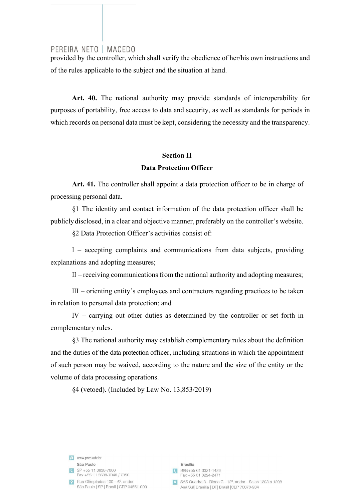provided by the controller, which shall verify the obedience of her/his own instructions and of the rules applicable to the subject and the situation at hand.

**Art. 40.** The national authority may provide standards of interoperability for purposes of portability, free access to data and security, as well as standards for periods in which records on personal data must be kept, considering the necessity and the transparency.

# **Section II**

## **Data Protection Officer**

**Art. 41.** The controller shall appoint a data protection officer to be in charge of processing personal data.

§1 The identity and contact information of the data protection officer shall be publicly disclosed, in a clear and objective manner, preferably on the controller's website.

§2 Data Protection Officer's activities consist of:

I – accepting complaints and communications from data subjects, providing explanations and adopting measures;

II – receiving communications from the national authority and adopting measures;

III – orienting entity's employees and contractors regarding practices to be taken in relation to personal data protection; and

IV – carrying out other duties as determined by the controller or set forth in complementary rules.

§3 The national authority may establish complementary rules about the definition and the duties of the data protection officer, including situations in which the appointment of such person may be waived, according to the nature and the size of the entity or the volume of data processing operations.

§4 (vetoed). (Included by Law No. 13,853/2019)

e www.pnm.adv.br São Paulo SP +55 11 3638-7000 Fax +55 11 3638-7040 / 7050 P Rua Olimpíadas  $100 - 6^\circ$  and and São Paulo | SP | Brasil | CEP 04551-000

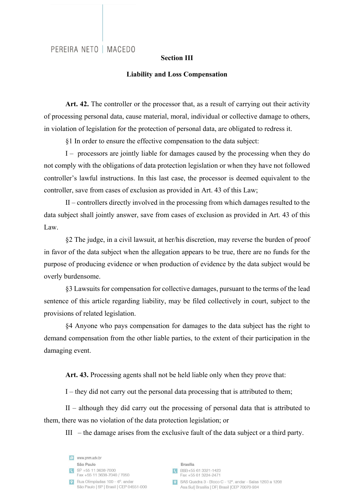#### **Section III**

#### **Liability and Loss Compensation**

Art. 42. The controller or the processor that, as a result of carrying out their activity of processing personal data, cause material, moral, individual or collective damage to others, in violation of legislation for the protection of personal data, are obligated to redress it.

§1 In order to ensure the effective compensation to the data subject:

I – processors are jointly liable for damages caused by the processing when they do not comply with the obligations of data protection legislation or when they have not followed controller's lawful instructions. In this last case, the processor is deemed equivalent to the controller, save from cases of exclusion as provided in Art. 43 of this Law;

II – controllers directly involved in the processing from which damages resulted to the data subject shall jointly answer, save from cases of exclusion as provided in Art. 43 of this Law.

§2 The judge, in a civil lawsuit, at her/his discretion, may reverse the burden of proof in favor of the data subject when the allegation appears to be true, there are no funds for the purpose of producing evidence or when production of evidence by the data subject would be overly burdensome.

§3 Lawsuits for compensation for collective damages, pursuant to the terms of the lead sentence of this article regarding liability, may be filed collectively in court, subject to the provisions of related legislation.

§4 Anyone who pays compensation for damages to the data subject has the right to demand compensation from the other liable parties, to the extent of their participation in the damaging event.

**Art. 43.** Processing agents shall not be held liable only when they prove that:

I – they did not carry out the personal data processing that is attributed to them;

II – although they did carry out the processing of personal data that is attributed to them, there was no violation of the data protection legislation; or

III – the damage arises from the exclusive fault of the data subject or a third party.

e www.pnm.adv.br São Paulo  $S$ P +55 11 3638-7000 Fax +55 11 3638-7040 / 7050 P Rua Olimpíadas  $100 - 6^\circ$  and and São Paulo | SP | Brasil | CEP 04551-000

**Brasília** CBSB+55 61 3321-1423 Fax +55 61 3224-2471 SAS Quadra 3 - Bloco C - 12°, andar - Salas 1203 a 1208 Asa Sul| Brasília | DF| Brasil | CEP 70070-934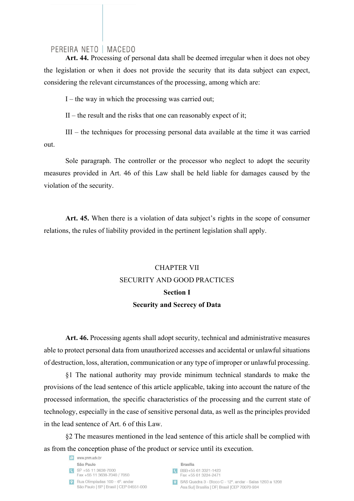**Art. 44.** Processing of personal data shall be deemed irregular when it does not obey the legislation or when it does not provide the security that its data subject can expect, considering the relevant circumstances of the processing, among which are:

 $I$  – the way in which the processing was carried out;

 $II$  – the result and the risks that one can reasonably expect of it;

III – the techniques for processing personal data available at the time it was carried out.

Sole paragraph. The controller or the processor who neglect to adopt the security measures provided in Art. 46 of this Law shall be held liable for damages caused by the violation of the security.

**Art. 45.** When there is a violation of data subject's rights in the scope of consumer relations, the rules of liability provided in the pertinent legislation shall apply.

# CHAPTER VII SECURITY AND GOOD PRACTICES **Section I Security and Secrecy of Data**

**Art. 46.** Processing agents shall adopt security, technical and administrative measures able to protect personal data from unauthorized accesses and accidental or unlawful situations of destruction, loss, alteration, communication or any type of improper or unlawful processing.

§1 The national authority may provide minimum technical standards to make the provisions of the lead sentence of this article applicable, taking into account the nature of the processed information, the specific characteristics of the processing and the current state of technology, especially in the case of sensitive personal data, as well as the principles provided in the lead sentence of Art. 6 of this Law.

§2 The measures mentioned in the lead sentence of this article shall be complied with as from the conception phase of the product or service until its execution.

e www.pnm.adv.br São Paulo SP +55 11 3638-7000 Fax +55 11 3638-7040 / 7050 P Rua Olimpíadas  $100 - 6^\circ$  and and São Paulo | SP | Brasil | CEP 04551-000

**Brasília** CBSB+55 61 3321-1423 Fax +55 61 3224-2471

9 SAS Quadra 3 - Bloco C - 12°, andar - Salas 1203 a 1208 Asa Sul| Brasília | DF| Brasil | CEP 70070-934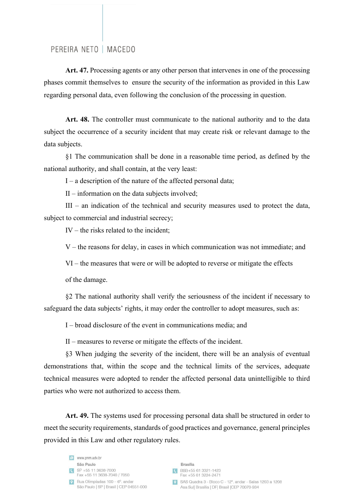**Art. 47.** Processing agents or any other person that intervenes in one of the processing phases commit themselves to ensure the security of the information as provided in this Law regarding personal data, even following the conclusion of the processing in question.

**Art. 48.** The controller must communicate to the national authority and to the data subject the occurrence of a security incident that may create risk or relevant damage to the data subjects.

§1 The communication shall be done in a reasonable time period, as defined by the national authority, and shall contain, at the very least:

I – a description of the nature of the affected personal data;

II – information on the data subjects involved;

III – an indication of the technical and security measures used to protect the data, subject to commercial and industrial secrecy;

IV – the risks related to the incident;

V – the reasons for delay, in cases in which communication was not immediate; and

VI – the measures that were or will be adopted to reverse or mitigate the effects

of the damage.

§2 The national authority shall verify the seriousness of the incident if necessary to safeguard the data subjects' rights, it may order the controller to adopt measures, such as:

I – broad disclosure of the event in communications media; and

II – measures to reverse or mitigate the effects of the incident.

§3 When judging the severity of the incident, there will be an analysis of eventual demonstrations that, within the scope and the technical limits of the services, adequate technical measures were adopted to render the affected personal data unintelligible to third parties who were not authorized to access them.

Art. 49. The systems used for processing personal data shall be structured in order to meet the security requirements, standards of good practices and governance, general principles provided in this Law and other regulatory rules.

e www.pnm.adv.br São Paulo  $S$ P +55 11 3638-7000 Fax +55 11 3638-7040 / 7050  $\bullet$  Rua Olimpíadas 100 – 6° andar São Paulo | SP | Brasil | CEP 04551-000

**Brasília** C BSB+55 61 3321-1423 Fax +55 61 3224-2471 SAS Quadra 3 - Bloco C - 12°, andar - Salas 1203 a 1208 Asa Sul| Brasília | DF| Brasil | CEP 70070-934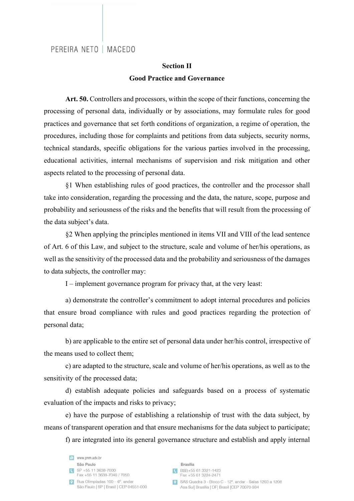## **Section II Good Practice and Governance**

Art. 50. Controllers and processors, within the scope of their functions, concerning the processing of personal data, individually or by associations, may formulate rules for good practices and governance that set forth conditions of organization, a regime of operation, the procedures, including those for complaints and petitions from data subjects, security norms, technical standards, specific obligations for the various parties involved in the processing, educational activities, internal mechanisms of supervision and risk mitigation and other aspects related to the processing of personal data.

§1 When establishing rules of good practices, the controller and the processor shall take into consideration, regarding the processing and the data, the nature, scope, purpose and probability and seriousness of the risks and the benefits that will result from the processing of the data subject's data.

§2 When applying the principles mentioned in items VII and VIII of the lead sentence of Art. 6 of this Law, and subject to the structure, scale and volume of her/his operations, as well as the sensitivity of the processed data and the probability and seriousness of the damages to data subjects, the controller may:

I – implement governance program for privacy that, at the very least:

a) demonstrate the controller's commitment to adopt internal procedures and policies that ensure broad compliance with rules and good practices regarding the protection of personal data;

b) are applicable to the entire set of personal data under her/his control, irrespective of the means used to collect them;

c) are adapted to the structure, scale and volume of her/his operations, as well as to the sensitivity of the processed data;

d) establish adequate policies and safeguards based on a process of systematic evaluation of the impacts and risks to privacy;

e) have the purpose of establishing a relationship of trust with the data subject, by means of transparent operation and that ensure mechanisms for the data subject to participate; f) are integrated into its general governance structure and establish and apply internal

e www.pnm.adv.br São Paulo  $S$ P +55 11 3638-7000 Fax +55 11 3638-7040 / 7050 P Rua Olimpíadas  $100 - 6^\circ$  and and São Paulo | SP | Brasil | CEP 04551-000

**Brasília** CBSB+55 61 3321-1423 Fax +55 61 3224-2471 SAS Quadra 3 - Bloco C - 12° andar - Salas 1203 a 1208 Asa Sul| Brasília | DF| Brasil | CEP 70070-934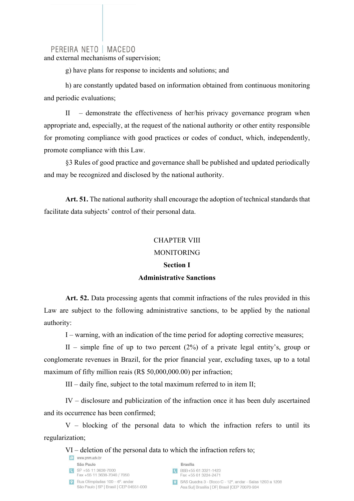and external mechanisms of supervision;

g) have plans for response to incidents and solutions; and

h) are constantly updated based on information obtained from continuous monitoring and periodic evaluations;

II – demonstrate the effectiveness of her/his privacy governance program when appropriate and, especially, at the request of the national authority or other entity responsible for promoting compliance with good practices or codes of conduct, which, independently, promote compliance with this Law.

§3 Rules of good practice and governance shall be published and updated periodically and may be recognized and disclosed by the national authority.

**Art. 51.** The national authority shall encourage the adoption of technical standards that facilitate data subjects' control of their personal data.

#### CHAPTER VIII

#### MONITORING

# **Section I Administrative Sanctions**

Art. 52. Data processing agents that commit infractions of the rules provided in this Law are subject to the following administrative sanctions, to be applied by the national authority:

I – warning, with an indication of the time period for adopting corrective measures;

II – simple fine of up to two percent  $(2%)$  of a private legal entity's, group or conglomerate revenues in Brazil, for the prior financial year, excluding taxes, up to a total maximum of fifty million reais (R\$ 50,000,000.00) per infraction;

III – daily fine, subject to the total maximum referred to in item II;

IV – disclosure and publicization of the infraction once it has been duly ascertained and its occurrence has been confirmed;

V – blocking of the personal data to which the infraction refers to until its regularization;

VI – deletion of the personal data to which the infraction refers to;

|           | www.pnm.adv.br                                                            |
|-----------|---------------------------------------------------------------------------|
|           | São Paulo                                                                 |
| G         | SP +55 11 3638-7000<br>Fax +55 11 3638-7040 / 7050                        |
| $\bullet$ | Rua Olimpíadas 100 - 6°, andar<br>São Paulo   SP   Brasil   CEP 04551-000 |
|           |                                                                           |

**Brasília** 

- BSB+55 61 3321-1423 Fax +55 61 3224-2471
- SAS Quadra 3 Bloco C 12°, andar Salas 1203 a 1208 Asa Sul| Brasília | DF| Brasil | CEP 70070-934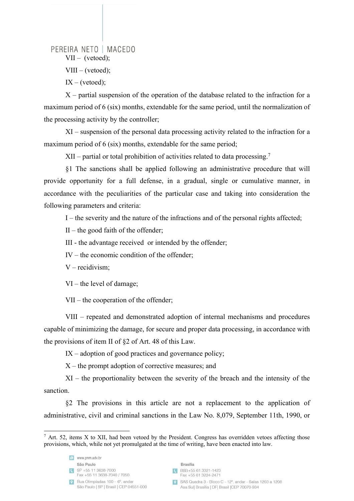PEREIRA NETO | MACEDO VII – (vetoed);

 $VIII - (vetoed);$ 

 $IX - (vetoed);$ 

 $X$  – partial suspension of the operation of the database related to the infraction for a maximum period of 6 (six) months, extendable for the same period, until the normalization of the processing activity by the controller;

XI – suspension of the personal data processing activity related to the infraction for a maximum period of 6 (six) months, extendable for the same period;

XII – partial or total prohibition of activities related to data processing. 7

§1 The sanctions shall be applied following an administrative procedure that will provide opportunity for a full defense, in a gradual, single or cumulative manner, in accordance with the peculiarities of the particular case and taking into consideration the following parameters and criteria:

I – the severity and the nature of the infractions and of the personal rights affected;

 $II$  – the good faith of the offender;

III - the advantage received or intended by the offender;

IV – the economic condition of the offender;

V – recidivism;

VI – the level of damage;

VII – the cooperation of the offender;

VIII – repeated and demonstrated adoption of internal mechanisms and procedures capable of minimizing the damage, for secure and proper data processing, in accordance with the provisions of item II of §2 of Art. 48 of this Law.

 $IX -$  adoption of good practices and governance policy;

X – the prompt adoption of corrective measures; and

XI – the proportionality between the severity of the breach and the intensity of the sanction.

§2 The provisions in this article are not a replacement to the application of administrative, civil and criminal sanctions in the Law No. 8,079, September 11th, 1990, or



 $\frac{7}{1}$  Art. 52, items X to XII, had been vetoed by the President. Congress has overridden vetoes affecting those provisions, which, while not yet promulgated at the time of writing, have been enacted into law.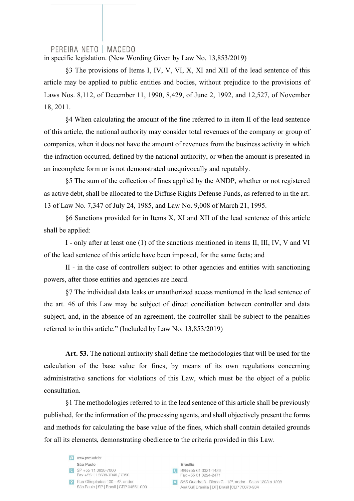in specific legislation. (New Wording Given by Law No. 13,853/2019)

§3 The provisions of Items I, IV, V, VI, X, XI and XII of the lead sentence of this article may be applied to public entities and bodies, without prejudice to the provisions of Laws Nos. 8,112, of December 11, 1990, 8,429, of June 2, 1992, and 12,527, of November 18, 2011.

§4 When calculating the amount of the fine referred to in item II of the lead sentence of this article, the national authority may consider total revenues of the company or group of companies, when it does not have the amount of revenues from the business activity in which the infraction occurred, defined by the national authority, or when the amount is presented in an incomplete form or is not demonstrated unequivocally and reputably.

§5 The sum of the collection of fines applied by the ANDP, whether or not registered as active debt, shall be allocated to the Diffuse Rights Defense Funds, as referred to in the art. 13 of Law No. 7,347 of July 24, 1985, and Law No. 9,008 of March 21, 1995.

§6 Sanctions provided for in Items X, XI and XII of the lead sentence of this article shall be applied:

I - only after at least one (1) of the sanctions mentioned in items II, III, IV, V and VI of the lead sentence of this article have been imposed, for the same facts; and

II - in the case of controllers subject to other agencies and entities with sanctioning powers, after those entities and agencies are heard.

§7 The individual data leaks or unauthorized access mentioned in the lead sentence of the art. 46 of this Law may be subject of direct conciliation between controller and data subject, and, in the absence of an agreement, the controller shall be subject to the penalties referred to in this article." (Included by Law No. 13,853/2019)

**Art. 53.** The national authority shall define the methodologies that will be used for the calculation of the base value for fines, by means of its own regulations concerning administrative sanctions for violations of this Law, which must be the object of a public consultation.

§1 The methodologies referred to in the lead sentence of this article shall be previously published, for the information of the processing agents, and shall objectively present the forms and methods for calculating the base value of the fines, which shall contain detailed grounds for all its elements, demonstrating obedience to the criteria provided in this Law.

e www.pnm.adv.br São Paulo  $S$ P +55 11 3638-7000 Fax +55 11 3638-7040 / 7050  $\bullet$  Rua Olimpíadas 100 – 6° andar São Paulo | SP | Brasil | CEP 04551-000

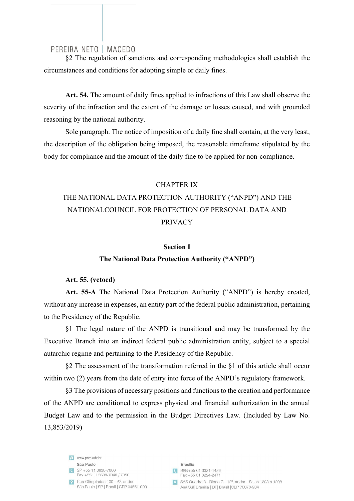§2 The regulation of sanctions and corresponding methodologies shall establish the circumstances and conditions for adopting simple or daily fines.

**Art. 54.** The amount of daily fines applied to infractions of this Law shall observe the severity of the infraction and the extent of the damage or losses caused, and with grounded reasoning by the national authority.

Sole paragraph. The notice of imposition of a daily fine shall contain, at the very least, the description of the obligation being imposed, the reasonable timeframe stipulated by the body for compliance and the amount of the daily fine to be applied for non-compliance.

#### CHAPTER IX

# THE NATIONAL DATA PROTECTION AUTHORITY ("ANPD") AND THE NATIONALCOUNCIL FOR PROTECTION OF PERSONAL DATA AND PRIVACY

#### **Section I**

#### **The National Data Protection Authority ("ANPD")**

#### **Art. 55. (vetoed)**

**Art. 55-A** The National Data Protection Authority ("ANPD") is hereby created, without any increase in expenses, an entity part of the federal public administration, pertaining to the Presidency of the Republic.

§1 The legal nature of the ANPD is transitional and may be transformed by the Executive Branch into an indirect federal public administration entity, subject to a special autarchic regime and pertaining to the Presidency of the Republic.

§2 The assessment of the transformation referred in the §1 of this article shall occur within two (2) years from the date of entry into force of the ANPD's regulatory framework.

§3 The provisions of necessary positions and functions to the creation and performance of the ANPD are conditioned to express physical and financial authorization in the annual Budget Law and to the permission in the Budget Directives Law. (Included by Law No. 13,853/2019)

e www.pnm.adv.br São Paulo  $S$ P +55 11 3638-7000 Fax +55 11 3638-7040 / 7050 P Rua Olimpíadas  $100 - 6^\circ$  and and São Paulo | SP | Brasil | CEP 04551-000

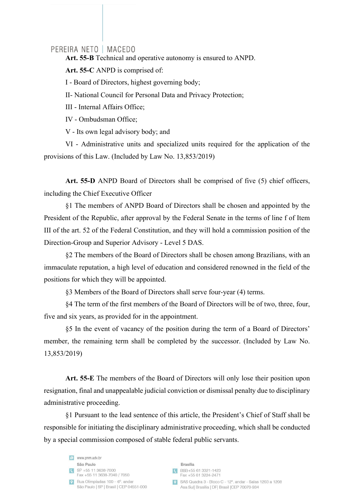**Art. 55-B** Technical and operative autonomy is ensured to ANPD.

**Art. 55-C** ANPD is comprised of:

I - Board of Directors, highest governing body;

II- National Council for Personal Data and Privacy Protection;

III - Internal Affairs Office;

IV - Ombudsman Office;

V - Its own legal advisory body; and

VI - Administrative units and specialized units required for the application of the provisions of this Law. (Included by Law No. 13,853/2019)

**Art. 55-D** ANPD Board of Directors shall be comprised of five (5) chief officers, including the Chief Executive Officer

§1 The members of ANPD Board of Directors shall be chosen and appointed by the President of the Republic, after approval by the Federal Senate in the terms of line f of Item III of the art. 52 of the Federal Constitution, and they will hold a commission position of the Direction-Group and Superior Advisory - Level 5 DAS.

§2 The members of the Board of Directors shall be chosen among Brazilians, with an immaculate reputation, a high level of education and considered renowned in the field of the positions for which they will be appointed.

§3 Members of the Board of Directors shall serve four-year (4) terms.

§4 The term of the first members of the Board of Directors will be of two, three, four, five and six years, as provided for in the appointment.

§5 In the event of vacancy of the position during the term of a Board of Directors' member, the remaining term shall be completed by the successor. (Included by Law No. 13,853/2019)

**Art. 55-E** The members of the Board of Directors will only lose their position upon resignation, final and unappealable judicial conviction or dismissal penalty due to disciplinary administrative proceeding.

§1 Pursuant to the lead sentence of this article, the President's Chief of Staff shall be responsible for initiating the disciplinary administrative proceeding, which shall be conducted by a special commission composed of stable federal public servants.

e www.pnm.adv.br São Paulo  $S$ P +55 11 3638-7000 Fax +55 11 3638-7040 / 7050  $\bullet$  Rua Olimpíadas 100 – 6° andar São Paulo | SP | Brasil | CEP 04551-000

**Brasília** CBSB+55 61 3321-1423 Fax +55 61 3224-2471 9 SAS Quadra 3 - Bloco C - 12°, andar - Salas 1203 a 1208 Asa Sul| Brasília | DF| Brasil | CEP 70070-934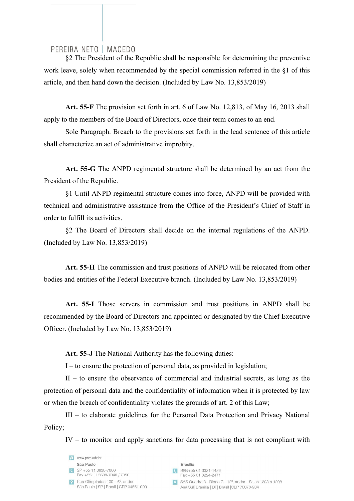§2 The President of the Republic shall be responsible for determining the preventive work leave, solely when recommended by the special commission referred in the §1 of this article, and then hand down the decision. (Included by Law No. 13,853/2019)

**Art. 55-F** The provision set forth in art. 6 of Law No. 12,813, of May 16, 2013 shall apply to the members of the Board of Directors, once their term comes to an end.

Sole Paragraph. Breach to the provisions set forth in the lead sentence of this article shall characterize an act of administrative improbity.

**Art. 55-G** The ANPD regimental structure shall be determined by an act from the President of the Republic.

§1 Until ANPD regimental structure comes into force, ANPD will be provided with technical and administrative assistance from the Office of the President's Chief of Staff in order to fulfill its activities.

§2 The Board of Directors shall decide on the internal regulations of the ANPD. (Included by Law No. 13,853/2019)

**Art. 55-H** The commission and trust positions of ANPD will be relocated from other bodies and entities of the Federal Executive branch. (Included by Law No. 13,853/2019)

**Art. 55-I** Those servers in commission and trust positions in ANPD shall be recommended by the Board of Directors and appointed or designated by the Chief Executive Officer. (Included by Law No. 13,853/2019)

**Art. 55-J** The National Authority has the following duties:

I – to ensure the protection of personal data, as provided in legislation;

II – to ensure the observance of commercial and industrial secrets, as long as the protection of personal data and the confidentiality of information when it is protected by law or when the breach of confidentiality violates the grounds of art. 2 of this Law;

III – to elaborate guidelines for the Personal Data Protection and Privacy National Policy;

IV – to monitor and apply sanctions for data processing that is not compliant with

Bloco C - 12° andar - Salas 1203 a 1208

| www.pnm.adv.br<br>e                     |                                                |
|-----------------------------------------|------------------------------------------------|
| São Paulo                               | <b>Brasília</b>                                |
| SP +55 11 3638-7000                     | BSB+55 61 3321-1423                            |
| Fax +55 11 3638-7040 / 7050             | Fax +55 61 3224-2471                           |
| Rua Olimpíadas 100 – 6°, andar          | SAS Quadra 3 - Bloco C - 12°, andar - Salas    |
| São Paulo   SP   Brasil   CEP 04551-000 | Asa Sul  Brasília   DF  Brasil   CEP 70070-934 |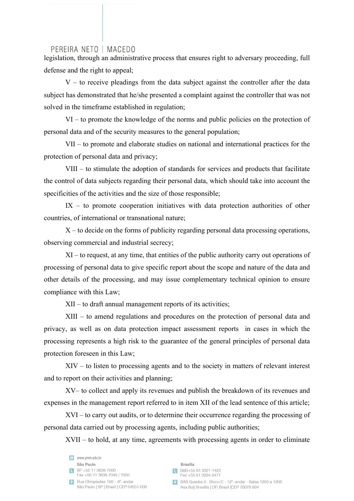legislation, through an administrative process that ensures right to adversary proceeding, full defense and the right to appeal;

 $V -$  to receive pleadings from the data subject against the controller after the data subject has demonstrated that he/she presented a complaint against the controller that was not solved in the timeframe established in regulation;

VI – to promote the knowledge of the norms and public policies on the protection of personal data and of the security measures to the general population;

VII – to promote and elaborate studies on national and international practices for the protection of personal data and privacy;

VIII – to stimulate the adoption of standards for services and products that facilitate the control of data subjects regarding their personal data, which should take into account the specificities of the activities and the size of those responsible;

 $IX -$  to promote cooperation initiatives with data protection authorities of other countries, of international or transnational nature;

 $X$  – to decide on the forms of publicity regarding personal data processing operations, observing commercial and industrial secrecy;

XI – to request, at any time, that entities of the public authority carry out operations of processing of personal data to give specific report about the scope and nature of the data and other details of the processing, and may issue complementary technical opinion to ensure compliance with this Law;

XII – to draft annual management reports of its activities;

XIII – to amend regulations and procedures on the protection of personal data and privacy, as well as on data protection impact assessment reports in cases in which the processing represents a high risk to the guarantee of the general principles of personal data protection foreseen in this Law;

XIV – to listen to processing agents and to the society in matters of relevant interest and to report on their activities and planning;

XV– to collect and apply its revenues and publish the breakdown of its revenues and expenses in the management report referred to in item XII of the lead sentence of this article;

XVI – to carry out audits, or to determine their occurrence regarding the processing of personal data carried out by processing agents, including public authorities;

XVII – to hold, at any time, agreements with processing agents in order to eliminate

e www.pnm.adv.br São Paulo  $\begin{array}{|c|c|c|c|}\n\hline\n\text{SP } +55 & 11 & 3638-7000 \\
\hline\n\end{array}$ Fax +55 11 3638-7040 / 7050  $\bullet$  Rua Olimpíadas 100 – 6° andar São Paulo | SP | Brasil | CEP 04551-000

**Brasília** C BSB+55 61 3321-1423 Fax +55 61 3224-2471 SAS Quadra 3 - Bloco C - 12° andar - Salas 1203 a 1208 Asa Sul| Brasília | DF| Brasil | CEP 70070-934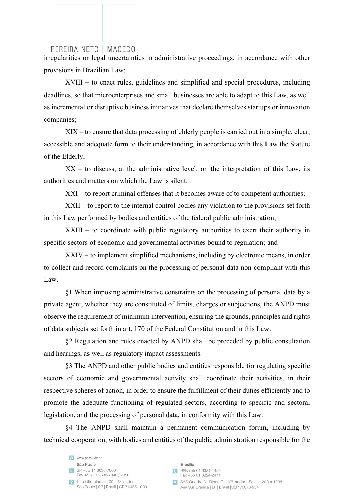irregularities or legal uncertainties in administrative proceedings, in accordance with other provisions in Brazilian Law;

XVIII – to enact rules, guidelines and simplified and special procedures, including deadlines, so that microenterprises and small businesses are able to adapt to this Law, as well as incremental or disruptive business initiatives that declare themselves startups or innovation companies;

XIX – to ensure that data processing of elderly people is carried out in a simple, clear, accessible and adequate form to their understanding, in accordance with this Law the Statute of the Elderly;

 $XX -$  to discuss, at the administrative level, on the interpretation of this Law, its authorities and matters on which the Law is silent;

XXI – to report criminal offenses that it becomes aware of to competent authorities;

XXII – to report to the internal control bodies any violation to the provisions set forth in this Law performed by bodies and entities of the federal public administration;

XXIII – to coordinate with public regulatory authorities to exert their authority in specific sectors of economic and governmental activities bound to regulation; and

XXIV – to implement simplified mechanisms, including by electronic means, in order to collect and record complaints on the processing of personal data non-compliant with this Law.

§1 When imposing administrative constraints on the processing of personal data by a private agent, whether they are constituted of limits, charges or subjections, the ANPD must observe the requirement of minimum intervention, ensuring the grounds, principles and rights of data subjects set forth in art. 170 of the Federal Constitution and in this Law.

§2 Regulation and rules enacted by ANPD shall be preceded by public consultation and hearings, as well as regulatory impact assessments.

§3 The ANPD and other public bodies and entities responsible for regulating specific sectors of economic and governmental activity shall coordinate their activities, in their respective spheres of action, in order to ensure the fulfillment of their duties efficiently and to promote the adequate functioning of regulated sectors, according to specific and sectoral legislation, and the processing of personal data, in conformity with this Law.

§4 The ANPD shall maintain a permanent communication forum, including by technical cooperation, with bodies and entities of the public administration responsible for the

e www.pnm.adv.br São Paulo  $S$ P +55 11 3638-7000 Fax +55 11 3638-7040 / 7050  $\bullet$  Rua Olimpíadas 100 – 6° andar São Paulo | SP | Brasil | CEP 04551-000

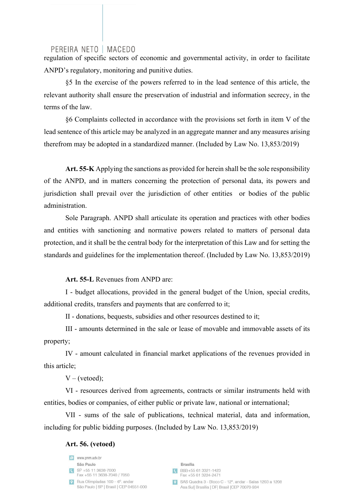regulation of specific sectors of economic and governmental activity, in order to facilitate ANPD's regulatory, monitoring and punitive duties.

§5 In the exercise of the powers referred to in the lead sentence of this article, the relevant authority shall ensure the preservation of industrial and information secrecy, in the terms of the law.

§6 Complaints collected in accordance with the provisions set forth in item V of the lead sentence of this article may be analyzed in an aggregate manner and any measures arising therefrom may be adopted in a standardized manner. (Included by Law No. 13,853/2019)

**Art. 55-K** Applying the sanctions as provided for herein shall be the sole responsibility of the ANPD, and in matters concerning the protection of personal data, its powers and jurisdiction shall prevail over the jurisdiction of other entities or bodies of the public administration.

Sole Paragraph. ANPD shall articulate its operation and practices with other bodies and entities with sanctioning and normative powers related to matters of personal data protection, and it shall be the central body for the interpretation of this Law and for setting the standards and guidelines for the implementation thereof. (Included by Law No. 13,853/2019)

**Art. 55-L** Revenues from ANPD are:

I - budget allocations, provided in the general budget of the Union, special credits, additional credits, transfers and payments that are conferred to it;

II - donations, bequests, subsidies and other resources destined to it;

III - amounts determined in the sale or lease of movable and immovable assets of its property;

IV - amount calculated in financial market applications of the revenues provided in this article;

 $V - (vetoed);$ 

VI - resources derived from agreements, contracts or similar instruments held with entities, bodies or companies, of either public or private law, national or international;

VII - sums of the sale of publications, technical material, data and information, including for public bidding purposes. (Included by Law No. 13,853/2019)

#### **Art. 56. (vetoed)**

e www.pnm.adv.br São Paulo  $S$ P +55 11 3638-7000 Fax +55 11 3638-7040 / 7050 P Rua Olimpíadas  $100 - 6^\circ$  and and São Paulo | SP | Brasil | CEP 04551-000

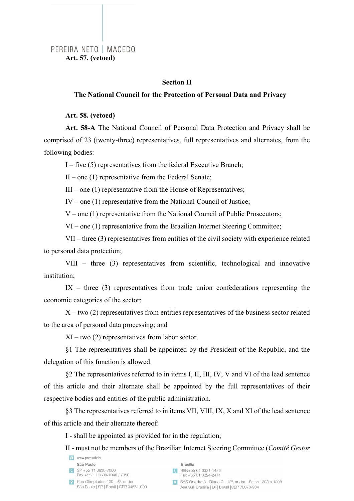## PEREIRA NETO | MACEDO **Art. 57. (vetoed)**

#### **Section II**

#### **The National Council for the Protection of Personal Data and Privacy**

**Art. 58. (vetoed)**

**Art. 58-A** The National Council of Personal Data Protection and Privacy shall be comprised of 23 (twenty-three) representatives, full representatives and alternates, from the following bodies:

I – five (5) representatives from the federal Executive Branch;

 $II$  – one (1) representative from the Federal Senate;

 $III$  – one (1) representative from the House of Representatives;

IV – one (1) representative from the National Council of Justice;

 $V$  – one (1) representative from the National Council of Public Prosecutors;

VI – one (1) representative from the Brazilian Internet Steering Committee;

VII – three (3) representatives from entities of the civil society with experience related to personal data protection;

VIII – three (3) representatives from scientific, technological and innovative institution;

 $IX - three (3)$  representatives from trade union confederations representing the economic categories of the sector;

 $X$  – two (2) representatives from entities representatives of the business sector related to the area of personal data processing; and

XI – two (2) representatives from labor sector.

§1 The representatives shall be appointed by the President of the Republic, and the delegation of this function is allowed.

§2 The representatives referred to in items I, II, III, IV, V and VI of the lead sentence of this article and their alternate shall be appointed by the full representatives of their respective bodies and entities of the public administration.

§3 The representatives referred to in items VII, VIII, IX, X and XI of the lead sentence of this article and their alternate thereof:

I - shall be appointed as provided for in the regulation;

II - must not be members of the Brazilian Internet Steering Committee (*Comitê Gestor* 

|              | www.pnm.adv.br                                                            |
|--------------|---------------------------------------------------------------------------|
|              | São Paulo                                                                 |
| $\mathbf{C}$ | SP +55 11 3638-7000<br>Fax +55 11 3638-7040 / 7050                        |
| $\bullet$    | Rua Olimpíadas 100 – 6°, andar<br>São Paulo   SP   Brasil   CEP 04551-000 |

**Brasília** 

BSB+55 61 3321-1423 Fax +55 61 3224-2471

SAS Quadra 3 - Bloco C - 12°, andar - Salas 1203 a 1208 Asa Sul| Brasília | DF| Brasil | CEP 70070-934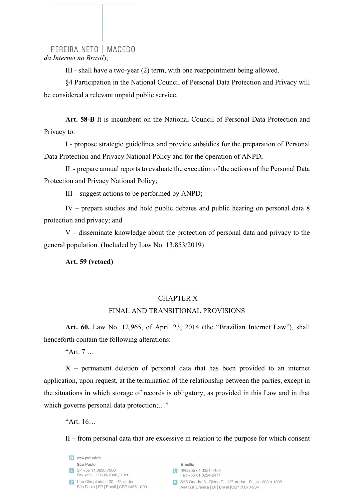PEREIRA NETO | MACEDO *da Internet no Brasil*);

III - shall have a two-year (2) term, with one reappointment being allowed.

§4 Participation in the National Council of Personal Data Protection and Privacy will be considered a relevant unpaid public service.

**Art. 58-B** It is incumbent on the National Council of Personal Data Protection and Privacy to:

I - propose strategic guidelines and provide subsidies for the preparation of Personal Data Protection and Privacy National Policy and for the operation of ANPD;

II - prepare annual reports to evaluate the execution of the actions of the Personal Data Protection and Privacy National Policy;

III – suggest actions to be performed by ANPD;

IV – prepare studies and hold public debates and public hearing on personal data 8 protection and privacy; and

V – disseminate knowledge about the protection of personal data and privacy to the general population. (Included by Law No. 13,853/2019)

**Art. 59 (vetoed)**

#### CHAPTER X

#### FINAL AND TRANSITIONAL PROVISIONS

**Art. 60.** Law No. 12,965, of April 23, 2014 (the "Brazilian Internet Law"), shall henceforth contain the following alterations:

"Art. 7 …

X – permanent deletion of personal data that has been provided to an internet application, upon request, at the termination of the relationship between the parties, except in the situations in which storage of records is obligatory, as provided in this Law and in that which governs personal data protection;..."

"Art. 16…

II – from personal data that are excessive in relation to the purpose for which consent

| $\epsilon$ | www.pnm.adv.br                                                            |
|------------|---------------------------------------------------------------------------|
|            | São Paulo                                                                 |
|            | SP +55 11 3638-7000<br>Fax +55 11 3638-7040 / 7050                        |
| $\bullet$  | Rua Olimpíadas 100 - 6°, andar<br>São Paulo   SP   Brasil   CEP 04551-000 |

SBH +55 61 3321-1423<br>Fax +55 61 3224-2471

| SAS Quadra 3 - Bloco C - 12° andar - Salas 1203 a 1208 |
|--------------------------------------------------------|
| Asa Sul  Brasília   DF  Brasil   CEP 70070-934         |